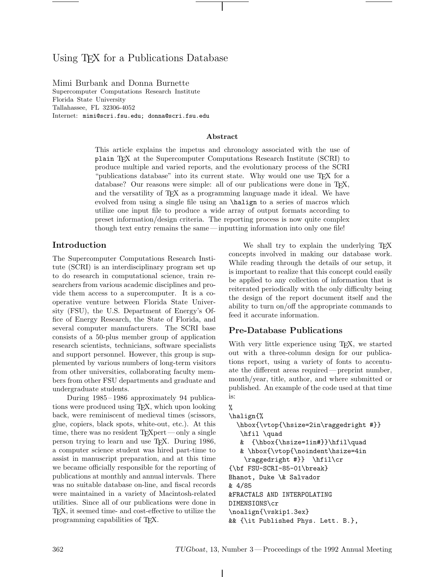# Using T<sub>EX</sub> for a Publications Database

Mimi Burbank and Donna Burnette Supercomputer Computations Research Institute Florida State University Tallahassee, FL 32306-4052 Internet: mimi@scri.fsu.edu; donna@scri.fsu.edu

#### **Abstract**

This article explains the impetus and chronology associated with the use of plain TEX at the Supercomputer Computations Research Institute (SCRI) to produce multiple and varied reports, and the evolutionary process of the SCRI "publications database" into its current state. Why would one use TFX for a database? Our reasons were simple: all of our publications were done in T<sub>E</sub>X, and the versatility of TEX as a programming language made it ideal. We have evolved from using a single file using an \halign to a series of macros which utilize one input file to produce a wide array of output formats according to preset information/design criteria. The reporting process is now quite complex though text entry remains the same— inputting information into only one file!

### **Introduction**

The Supercomputer Computations Research Institute (SCRI) is an interdisciplinary program set up to do research in computational science, train researchers from various academic disciplines and provide them access to a supercomputer. It is a cooperative venture between Florida State University (FSU), the U.S. Department of Energy's Office of Energy Research, the State of Florida, and several computer manufacturers. The SCRI base consists of a 50-plus member group of application research scientists, technicians, software specialists and support personnel. However, this group is supplemented by various numbers of long-term visitors from other universities, collaborating faculty members from other FSU departments and graduate and undergraduate students.

During 1985 – 1986 approximately 94 publications were produced using TEX, which upon looking back, were reminiscent of medieval times (scissors, glue, copiers, black spots, white-out, etc.). At this time, there was no resident  $T_F X$ pert—only a single person trying to learn and use TEX. During 1986, a computer science student was hired part-time to assist in manuscript preparation, and at this time we became officially responsible for the reporting of publications at monthly and annual intervals. There was no suitable database on-line, and fiscal records were maintained in a variety of Macintosh-related utilities. Since all of our publications were done in TEX, it seemed time- and cost-effective to utilize the programming capabilities of TEX.

We shall try to explain the underlying T<sub>EX</sub> concepts involved in making our database work. While reading through the details of our setup, it is important to realize that this concept could easily be applied to any collection of information that is reiterated periodically with the only difficulty being the design of the report document itself and the ability to turn on/off the appropriate commands to feed it accurate information.

### **Pre-Database Publications**

With very little experience using T<sub>E</sub>X, we started out with a three-column design for our publications report, using a variety of fonts to accentuate the different areas required— preprint number, month/year, title, author, and where submitted or published. An example of the code used at that time is:

```
%
\halign{%
  \hbox{\vtop{\hsize=2in\raggedright #}}
   \hfil \quad
  & {\hbox{\hsize=1in#}}\hfil\quad
   & \hbox{\vtop{\noindent\hsize=4in
    \raggedright #}} \hfil\cr
{\bf FSU-SCRI-85-01\break}
Bhanot, Duke \& Salvador
& 4/85
&FRACTALS AND INTERPOLATING
DIMENSIONS\cr
\noalign{\vskip1.3ex}
&& {\it Published Phys. Lett. B.},
```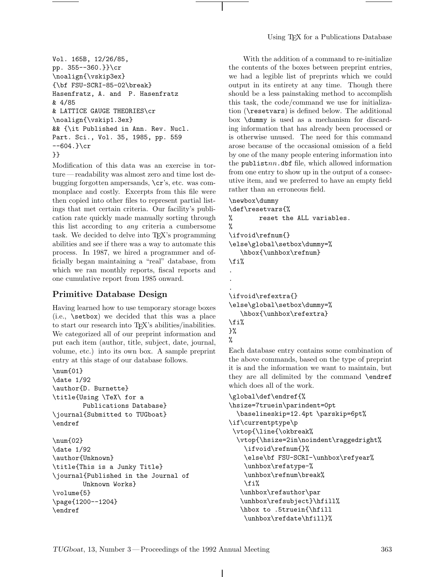```
Vol. 165B, 12/26/85,
pp. 355--360.}}\cr
\noalign{\vskip3ex}
{\bf FSU-SCRI-85-02\break}
Hasenfratz, A. and P. Hasenfratz
& 4/85
& LATTICE GAUGE THEORIES\cr
\noalign{\vskip1.3ex}
&& {\it Published in Ann. Rev. Nucl.
Part. Sci., Vol. 35, 1985, pp. 559
-604.}cr
}}
```
Modification of this data was an exercise in torture — readability was almost zero and time lost debugging forgotten ampersands, \cr's, etc. was commonplace and costly. Excerpts from this file were then copied into other files to represent partial listings that met certain criteria. Our facility's publication rate quickly made manually sorting through this list according to *any* criteria a cumbersome task. We decided to delve into TEX's programming abilities and see if there was a way to automate this process. In 1987, we hired a programmer and officially began maintaining a "real" database, from which we ran monthly reports, fiscal reports and one cumulative report from 1985 onward.

## **Primitive Database Design**

Having learned how to use temporary storage boxes (i.e., \setbox) we decided that this was a place to start our research into TEX's abilities/inabilities. We categorized all of our preprint information and put each item (author, title, subject, date, journal, volume, etc.) into its own box. A sample preprint entry at this stage of our database follows.

#### \num{01}

```
\date 1/92
\author{D. Burnette}
\title{Using \TeX\ for a
       Publications Database}
\journal{Submitted to TUGboat}
\endref
```
\num{02} \date 1/92 \author{Unknown} \title{This is a Junky Title} \journal{Published in the Journal of Unknown Works} \volume{5} \page{1200--1204} \endref

With the addition of a command to re-initialize the contents of the boxes between preprint entries, we had a legible list of preprints which we could output in its entirety at any time. Though there should be a less painstaking method to accomplish this task, the code/command we use for initialization (\resetvars) is defined below. The additional box \dummy is used as a mechanism for discarding information that has already been processed or is otherwise unused. The need for this command arose because of the occasional omission of a field by one of the many people entering information into the publist*nn*.dbf file, which allowed information from one entry to show up in the output of a consecutive item, and we preferred to have an empty field rather than an erroneous field.

```
\newbox\dummy
\def\resetvars{%
% reset the ALL variables.
%
\ifvoid\refnum{}
\else\global\setbox\dummy=%
   \hbox{\unhbox\refnum}
\fi%
.
.
.
\ifvoid\refextra{}
\else\global\setbox\dummy=%
   \hbox{\unhbox\refextra}
\fi%
}%
%
```
Each database entry contains some combination of the above commands, based on the type of preprint it is and the information we want to maintain, but they are all delimited by the command \endref which does all of the work.

```
\global\def\endref{%
\hsize=7truein\parindent=0pt
  \baselineskip=12.4pt \parskip=6pt%
\if\currentptype\p
 \vtop{\line{\okbreak%
 \vtop{\hsize=2in\noindent\raggedright%
    \ifvoid\refnum{}%
    \else\bf FSU-SCRI-\unhbox\refyear%
   \unhbox\refatype-%
   \unhbox\refnum\break%
   \fi%
   \unhbox\refauthor\par
   \unhbox\refsubject}\hfill%
   \hbox to .5truein{\hfill
   \unhbox\refdate\hfill}%
```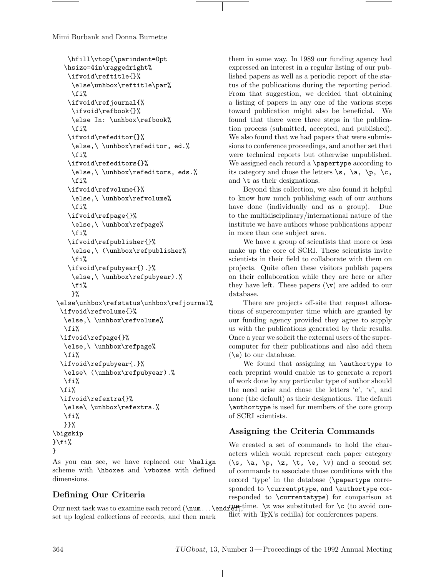```
\hfill\vtop{\parindent=0pt
   \hsize=4in\raggedright%
    \ifvoid\reftitle{}%
     \else\unhbox\reftitle\par%
     \fi%
    \ifvoid\refjournal{%
     \ifvoid\refbook{}%
     \else In: \unhbox\refbook%
     \fi%
    \ifvoid\refeditor{}%
     \else,\ \unhbox\refeditor, ed.%
     \fi%
    \ifvoid\refeditors{}%
     \else,\ \unhbox\refeditors, eds.%
     \fi%
    \ifvoid\refvolume{}%
     \else,\ \unhbox\refvolume%
     \fi%
    \ifvoid\refpage{}%
     \else,\ \unhbox\refpage%
     \fi%
    \ifvoid\refpublisher{}%
     \else,\ (\unhbox\refpublisher%
     \fi%
    \ifvoid\refpubyear{).}%
     \else,\ \unhbox\refpubyear).%
     \frac{1}{2}}%
 \else\unhbox\refstatus\unhbox\refjournal%
  \ifvoid\refvolume{}%
   \else,\ \unhbox\refvolume%
   \fi%
  \ifvoid\refpage{}%
   \else,\ \unhbox\refpage%
   \fi%
  \ifvoid\refpubyear{.}%
   \else\ (\unhbox\refpubyear).%
  \fi%
  \fi%
  \ifvoid\refextra{}%
   \else\ \unhbox\refextra.%
   \fi%
  }}%
\bigskip
}
```
As you can see, we have replaced our \halign scheme with \hboxes and \vboxes with defined dimensions.

# **Defining Our Criteria**

them in some way. In 1989 our funding agency had expressed an interest in a regular listing of our published papers as well as a periodic report of the status of the publications during the reporting period. From that suggestion, we decided that obtaining a listing of papers in any one of the various steps toward publication might also be beneficial. We found that there were three steps in the publication process (submitted, accepted, and published). We also found that we had papers that were submissions to conference proceedings, and another set that were technical reports but otherwise unpublished. We assigned each record a \papertype according to its category and chose the letters  $\s$ ,  $\a$ ,  $\pmb{\varphi}$ ,  $\c$ , and \t as their designations.

Beyond this collection, we also found it helpful to know how much publishing each of our authors have done (individually and as a group). Due to the multidisciplinary/international nature of the institute we have authors whose publications appear in more than one subject area.

We have a group of scientists that more or less make up the core of SCRI. These scientists invite scientists in their field to collaborate with them on projects. Quite often these visitors publish papers on their collaboration while they are here or after they have left. These papers  $(\forall x)$  are added to our database.

There are projects off-site that request allocations of supercomputer time which are granted by our funding agency provided they agree to supply us with the publications generated by their results. Once a year we solicit the external users of the supercomputer for their publications and also add them  $(\e)$  to our database.

We found that assigning an \authortype to each preprint would enable us to generate a report of work done by any particular type of author should the need arise and chose the letters 'e', 'v', and none (the default) as their designations. The default \authortype is used for members of the core group of SCRI scientists.

## **Assigning the Criteria Commands**

We created a set of commands to hold the characters which would represent each paper category  $(\s, \a, \p, \zeta, \t, \t, \e, \v)$  and a second set of commands to associate those conditions with the record 'type' in the database (\papertype corresponded to **\currentptype**, and **\authortype** corresponded to \currentatype) for comparison at

Our next task was to examine each record  $(\n\mu \ldots \end{bmatrix}, \n\geq 2$  was substituted for  $\c$  (to avoid conset up logical collections of records, and then mark flict with T<sub>EX</sub>'s cedilla) for conferences papers.

}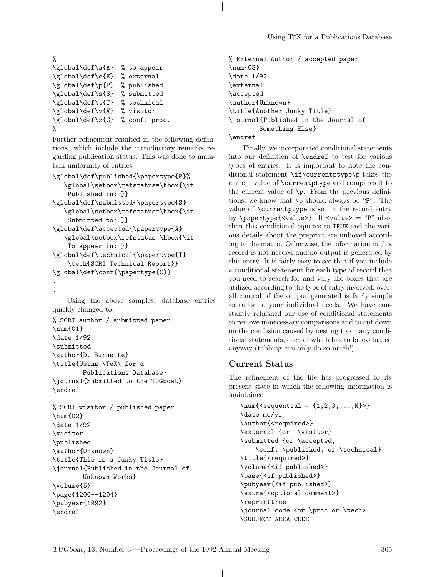```
%
\global\def\a{A} % to appear
\global\def\e{E} % external
\global\def\p{P} % published
\global\def\s{S} % submitted
\global\def\t{T} % technical
\global\def\v{V} % visitor
\global\def\z{C} % conf. proc.
%
```
Further refinement resulted in the following definitions, which include the introductory remarks regarding publication status. This was done to maintain uniformity of entries.

```
\global\def\published{\papertype{P}%
   \global\setbox\refstatus=\hbox{\it
   Published in: }}
\global\def\submitted{\papertype{S}
   \global\setbox\refstatus=\hbox{\it
   Submitted to: }}
\global\def\accepted{\papertype{A}
   \global\setbox\refstatus=\hbox{\it
   To appear in: }}
\global\def\technical{\papertype{T}
   \tech{SCRI Technical Report}}
\global\def\conf{\papertype{C}}
```
. .

Using the above samples, database entries quickly changed to:

```
% SCRI author / submitted paper
\num{01}
\date 1/92
\submitted
\author{D. Burnette}
\title{Using \TeX\ for a
        Publications Database}
\journal{Submitted to the TUGboat}
\endref
```

```
% SCRI visitor / published paper
\num{02}
\date 1/92
\visitor
\published
\author{Unknown}
\title{This is a Junky Title}
\journal{Published in the Journal of
        Unknown Works}
\volume{5}
\page{1200--1204}
\pubyear{1992}
\endref
```
% External Author / accepted paper \num{03} \date 1/92 \external \accepted \author{Unknown} \title{Another Junky Title} \journal{Published in the Journal of Something Else}

\endref

Finally, we incorporated conditional statements into our definition of \endref to test for various types of entries. It is important to note the conditional statement \if\currentptype\p takes the current value of \currentptype and compares it to the current value of \p. From the previous definitions, we know that \p should always be "P". The value of \currentptype is set in the record entry by  $\text{papertype}\{\text{value}\}$ . If  $\text{value} = \text{p}$  also, then this conditional equates to TRUE and the various details about the preprint are unboxed according to the macro. Otherwise, the information in this record is not needed and no output is generated by this entry. It is fairly easy to see that if you include a conditional statement for each type of record that you need to search for and vary the boxes that are utilized according to the type of entry involved, overall control of the output generated is fairly simple to tailor to your individual needs. We have constantly rehashed our use of conditional statements to remove unnecessary comparisons and to cut down on the confusion caused by nesting too many conditional statements, each of which has to be evaluated anyway (tabbing can only do so much!).

### **Current Status**

The refinement of the file has progressed to its present state in which the following information is maintained:

```
\sum_{\text{sequential = } \{1, 2, 3, \ldots, N\}}\date mo/yr
\author{<required>}
\external {or \visitor}
\submitted {or \accepted,
    \conf, \published, or \technical}
\title{<required>}
\volume{<if published>}
\page{<if published>}
\pubyear{<if published>}
\extra{<optional comment>}
\reprinttrue
\journal-code <or \proc or \tech>
\SUBJECT-AREA-CODE
```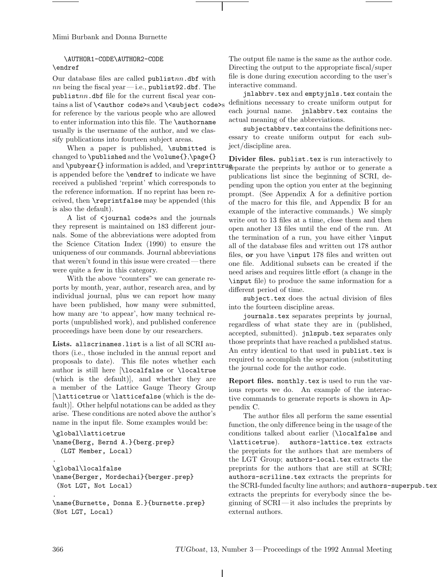### \AUTHOR1-CODE\AUTHOR2-CODE \endref

Our database files are called publist*nn*.dbf with  $nn$  being the fiscal year—i.e., publist92.dbf. The publist*nn*.dbf file for the current fiscal year contains a list of  $\{\x$ tauthor code>s and  $\x$ subject code>s for reference by the various people who are allowed to enter information into this file. The \authorname usually is the username of the author, and we classify publications into fourteen subject areas.

When a paper is published, \submitted is changed to \published and the \volume{},\page{} and \pubyear{} information is added, and \reprinttruge parate the preprints by author or to generate a is appended before the \endref to indicate we have received a published 'reprint' which corresponds to the reference information. If no reprint has been received, then \reprintfalse may be appended (this is also the default).

A list of <journal code>s and the journals they represent is maintained on 183 different journals. Some of the abbreviations were adopted from the Science Citation Index (1990) to ensure the uniqueness of our commands. Journal abbreviations that weren't found in this issue were created— there were quite a few in this category.

With the above "counters" we can generate reports by month, year, author, research area, and by individual journal, plus we can report how many have been published, how many were submitted, how many are 'to appear', how many technical reports (unpublished work), and published conference proceedings have been done by our researchers.

**Lists.** allscrinames.list is a list of all SCRI authors (i.e., those included in the annual report and proposals to date). This file notes whether each author is still here [\localfalse or \localtrue (which is the default)], and whether they are a member of the Lattice Gauge Theory Group [\latticetrue or \latticefalse (which is the default)]. Other helpful notations can be added as they arise. These conditions are noted above the author's name in the input file. Some examples would be:

```
\global\latticetrue
\name{Berg, Bernd A.}{berg.prep}
  (LGT Member, Local)
.
\global\localfalse
\name{Berger, Mordechai}{berger.prep}
 (Not LGT, Not Local)
```
The output file name is the same as the author code. Directing the output to the appropriate fiscal/super file is done during execution according to the user's interactive command.

jnlabbrv.tex and emptyjnls.tex contain the definitions necessary to create uniform output for each journal name. jnlabbrv.tex contains the actual meaning of the abbreviations.

subjectabbry.tex contains the definitions necessary to create uniform output for each subject/discipline area.

**Divider files.** publist.tex is run interactively to publications list since the beginning of SCRI, depending upon the option you enter at the beginning prompt. (See Appendix A for a definitive portion of the macro for this file, and Appendix B for an example of the interactive commands.) We simply write out to 13 files at a time, close them and then open another 13 files until the end of the run. At the termination of a run, you have either \input all of the database files and written out 178 author files, **or** you have \input 178 files and written out one file. Additional subsets can be created if the need arises and requires little effort (a change in the \input file) to produce the same information for a different period of time.

subject.tex does the actual division of files into the fourteen discipline areas.

journals.tex separates preprints by journal, regardless of what state they are in (published, accepted, submitted). jnlspub.tex separates only those preprints that have reached a published status. An entry identical to that used in publist.tex is required to accomplish the separation (substituting the journal code for the author code.

**Report files.** monthly.tex is used to run the various reports we do. An example of the interactive commands to generate reports is shown in Appendix C.

The author files all perform the same essential function, the only difference being in the usage of the conditions talked about earlier (\localfalse and \latticetrue). authors-lattice.tex extracts the preprints for the authors that are members of the LGT Group; authors-local.tex extracts the preprints for the authors that are still at SCRI; authors-scriline.tex extracts the preprints for the SCRI-funded faculty line authors; and authors-superpub.tex extracts the preprints for everybody since the beginning of SCRI — it also includes the preprints by external authors.

.

<sup>\</sup>name{Burnette, Donna E.}{burnette.prep} (Not LGT, Local)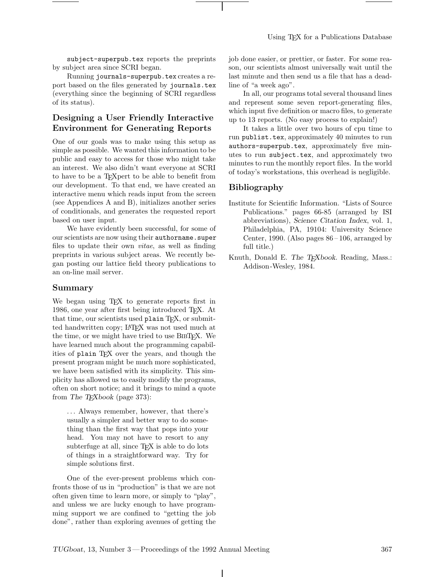subject-superpub.tex reports the preprints by subject area since SCRI began.

Running journals-superpub.tex creates a report based on the files generated by journals.tex (everything since the beginning of SCRI regardless of its status).

## **Designing a User Friendly Interactive Environment for Generating Reports**

One of our goals was to make using this setup as simple as possible. We wanted this information to be public and easy to access for those who might take an interest. We also didn't want everyone at SCRI to have to be a TEXpert to be able to benefit from our development. To that end, we have created an interactive menu which reads input from the screen (see Appendices A and B), initializes another series of conditionals, and generates the requested report based on user input.

We have evidently been successful, for some of our scientists are now using their authorname. super files to update their own *vitae*, as well as finding preprints in various subject areas. We recently began posting our lattice field theory publications to an on-line mail server.

#### **Summary**

We began using T<sub>EX</sub> to generate reports first in 1986, one year after first being introduced TEX. At that time, our scientists used  $planain TFX$ , or submitted handwritten copy; LATEX was not used much at the time, or we might have tried to use BIBT<sub>EX</sub>. We have learned much about the programming capabilities of plain TEX over the years, and though the present program might be much more sophisticated, we have been satisfied with its simplicity. This simplicity has allowed us to easily modify the programs, often on short notice; and it brings to mind a quote from *The TEXbook* (page 373):

*...* Always remember, however, that there's usually a simpler and better way to do something than the first way that pops into your head. You may not have to resort to any subterfuge at all, since TEX is able to do lots of things in a straightforward way. Try for simple solutions first.

One of the ever-present problems which confronts those of us in "production" is that we are not often given time to learn more, or simply to "play", and unless we are lucky enough to have programming support we are confined to "getting the job done", rather than exploring avenues of getting the job done easier, or prettier, or faster. For some reason, our scientists almost universally wait until the last minute and then send us a file that has a deadline of "a week ago".

In all, our programs total several thousand lines and represent some seven report-generating files, which input five definition or macro files, to generate up to 13 reports. (No easy process to explain!)

It takes a little over two hours of cpu time to run publist.tex, approximately 40 minutes to run authors-superpub.tex, approximately five minutes to run subject.tex, and approximately two minutes to run the monthly report files. In the world of today's workstations, this overhead is negligible.

#### **Bibliography**

- Institute for Scientific Information. "Lists of Source Publications." pages 66-85 (arranged by ISI abbreviations), *Science Citation Index*, vol. 1, Philadelphia, PA, 19104: University Science Center, 1990. (Also pages  $86-106$ , arranged by full title.)
- Knuth, Donald E. *The TEXbook*. Reading, Mass.: Addison -Wesley, 1984.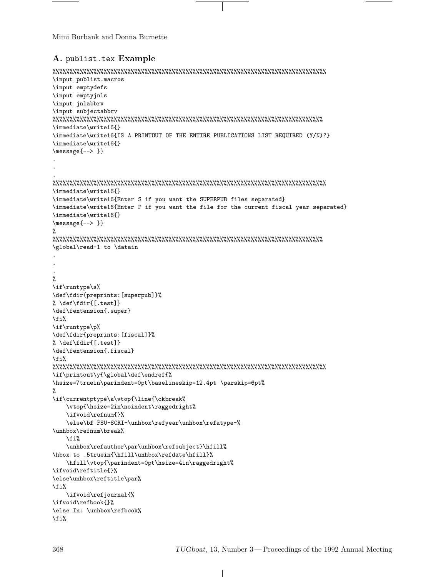## **A.** publist.tex **Example**

```
%%%%%%%%%%%%%%%%%%%%%%%%%%%%%%%%%%%%%%%%%%%%%%%%%%%%%%%%%%%%%%%%%%%%%%%%%%%%%%%%
\input publist.macros
\input emptydefs
\input emptyjnls
\input jnlabbrv
\input subjectabbrv
%%%%%%%%%%%%%%%%%%%%%%%%%%%%%%%%%%%%%%%%%%%%%%%%%%%%%%%%%%%%%%%%%%%%%%%%%%%%%%%
\immediate\write16{}
\immediate\write16{IS A PRINTOUT OF THE ENTIRE PUBLICATIONS LIST REQUIRED (Y/N)?}
\immediate\write16{}
\message{--> }}
.
.
.
%%%%%%%%%%%%%%%%%%%%%%%%%%%%%%%%%%%%%%%%%%%%%%%%%%%%%%%%%%%%%%%%%%%%%%%%%%%%%%%%
\immediate\write16{}
\immediate\write16{Enter S if you want the SUPERPUB files separated}
\immediate\write16{Enter P if you want the file for the current fiscal year separated}
\immediate\write16{}
\message{--> }}
%
%%%%%%%%%%%%%%%%%%%%%%%%%%%%%%%%%%%%%%%%%%%%%%%%%%%%%%%%%%%%%%%%%%%%%%%%%%%%%%%
\global\read-1 to \datain
.
.
.
%
\if\runtype\s%
\def\fdir{preprints:[superpub]}%
% \def\fdir{[.test]}
\def\fextension{.super}
\fi%
\if\runtype\p%
\def\fdir{preprints:[fiscal]}%
% \def\fdir{[.test]}
\def\fextension{.fiscal}
\fi%
%%%%%%%%%%%%%%%%%%%%%%%%%%%%%%%%%%%%%%%%%%%%%%%%%%%%%%%%%%%%%%%%%%%%%%%%%%%%%%%%
\if\printout\y{\global\def\endref{%
\hsize=7truein\parindent=0pt\baselineskip=12.4pt \parskip=6pt%
%
\if\currentptype\a\vtop{\line{\okbreak%
    \vtop{\hsize=2in\noindent\raggedright%
    \ifvoid\refnum{}%
    \else\bf FSU-SCRI-\unhbox\refyear\unhbox\refatype-%
\unhbox\refnum\break%
    \fi%
    \unhbox\refauthor\par\unhbox\refsubject}\hfill%
\hbox to .5truein{\hfill\unhbox\refdate\hfill}%
   \hfill\vtop{\parindent=0pt\hsize=4in\raggedright%
\ifvoid\reftitle{}%
\else\unhbox\reftitle\par%
\fi%
    \ifvoid\refjournal{%
\ifvoid\refbook{}%
\else In: \unhbox\refbook%
\fi%
```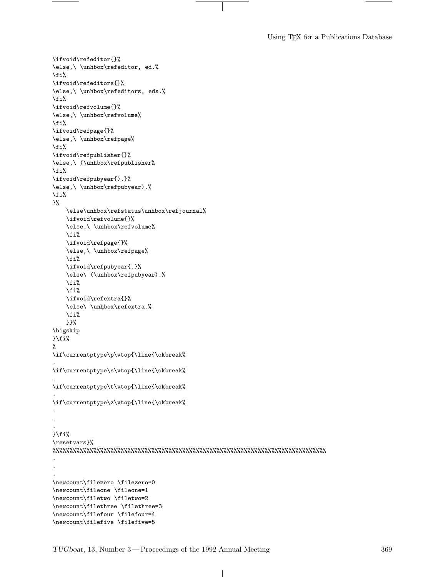Using TEX for a Publications Database

```
\ifvoid\refeditor{}%
\else,\ \unhbox\refeditor, ed.%
\fi%
\ifvoid\refeditors{}%
\else,\ \unhbox\refeditors, eds.%
\fi%
\ifvoid\refvolume{}%
\else,\ \unhbox\refvolume%
\fi%
\ifvoid\refpage{}%
\else,\ \unhbox\refpage%
\fi%
\ifvoid\refpublisher{}%
\else,\ (\unhbox\refpublisher%
\fi%
\ifvoid\refpubyear{).}%
\else,\ \unhbox\refpubyear).%
\fi%
}%
    \else\unhbox\refstatus\unhbox\refjournal%
    \ifvoid\refvolume{}%
    \else,\ \unhbox\refvolume%
    \fi%
    \ifvoid\refpage{}%
    \else,\ \unhbox\refpage%
    \fi%
    \ifvoid\refpubyear{.}%
    \else\ (\unhbox\refpubyear).%
    \fi%
    \fi%
    \ifvoid\refextra{}%
    \else\ \unhbox\refextra.%
    \fi%
    }}%
\bigskip
}\fi%
%
\if\currentptype\p\vtop{\line{\okbreak%
.
\if\currentptype\s\vtop{\line{\okbreak%
.
\if\currentptype\t\vtop{\line{\okbreak%
.
\if\currentptype\z\vtop{\line{\okbreak%
.
.
.
}\fi%
\resetvars}%
%%%%%%%%%%%%%%%%%%%%%%%%%%%%%%%%%%%%%%%%%%%%%%%%%%%%%%%%%%%%%%%%%%%%%%%%%%%%%%%%
.
.
.
\newcount\filezero \filezero=0
\newcount\fileone \fileone=1
\newcount\filetwo \filetwo=2
\newcount\filethree \filethree=3
\newcount\filefour \filefour=4
\newcount\filefive \filefive=5
```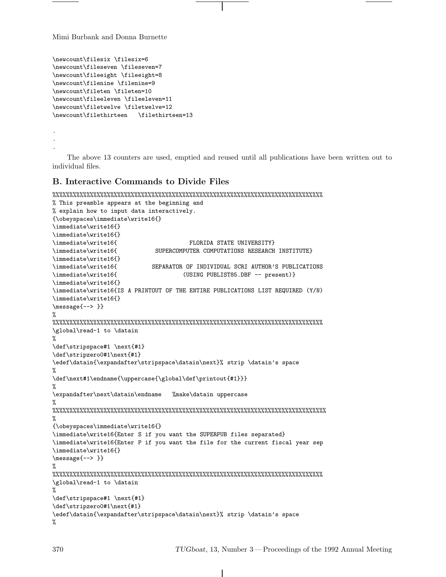```
\newcount\filesix \filesix=6
\newcount\fileseven \fileseven=7
\newcount\fileeight \fileeight=8
\newcount\filenine \filenine=9
\newcount\fileten \fileten=10
\newcount\fileeleven \fileeleven=11
\newcount\filetwelve \filetwelve=12
\newcount\filethirteen \filethirteen=13
.
.
.
```
The above 13 counters are used, emptied and reused until all publications have been written out to individual files.

### **B. Interactive Commands to Divide Files**

```
%%%%%%%%%%%%%%%%%%%%%%%%%%%%%%%%%%%%%%%%%%%%%%%%%%%%%%%%%%%%%%%%%%%%%%%%%%%%%%%
```

```
% This preamble appears at the beginning and
% explain how to input data interactively.
{\obeyspaces\immediate\write16{}
\immediate\write16{}
\immediate\write16{}
\immediate\write16{ FLORIDA STATE UNIVERSITY}
\immediate\write16{ SUPERCOMPUTER COMPUTATIONS RESEARCH INSTITUTE}
\immediate\write16{}
\immediate\write16{ SEPARATOR OF INDIVIDUAL SCRI AUTHOR'S PUBLICATIONS
\immediate\write16{ (USING PUBLIST85.DBF -- present)}
\immediate\write16{}
\immediate\write16{IS A PRINTOUT OF THE ENTIRE PUBLICATIONS LIST REQUIRED (Y/N)
\immediate\write16{}
\message{--> }}
%
%%%%%%%%%%%%%%%%%%%%%%%%%%%%%%%%%%%%%%%%%%%%%%%%%%%%%%%%%%%%%%%%%%%%%%%%%%%%%%%
\global\read-1 to \datain
%
\def\stripspace#1 \next{#1}
\def\stripzero0#1\next{#1}
\edef\datain{\expandafter\stripspace\datain\next}% strip \datain's space
%
\def\next#1\endname{\uppercase{\global\def\printout{#1}}}
%
\expandafter\next\datain\endname %make\datain uppercase
%
%%%%%%%%%%%%%%%%%%%%%%%%%%%%%%%%%%%%%%%%%%%%%%%%%%%%%%%%%%%%%%%%%%%%%%%%%%%%%%%%
%
{\obeyspaces\immediate\write16{}
\immediate\write16{Enter S if you want the SUPERPUB files separated}
\immediate\write16{Enter P if you want the file for the current fiscal year sep
\immediate\write16{}
\message{--> }}
%
%%%%%%%%%%%%%%%%%%%%%%%%%%%%%%%%%%%%%%%%%%%%%%%%%%%%%%%%%%%%%%%%%%%%%%%%%%%%%%%
\global\read-1 to \datain
%
\def\stripspace#1 \next{#1}
\def\stripzero0#1\next{#1}
\edef\datain{\expandafter\stripspace\datain\next}% strip \datain's space
%
```